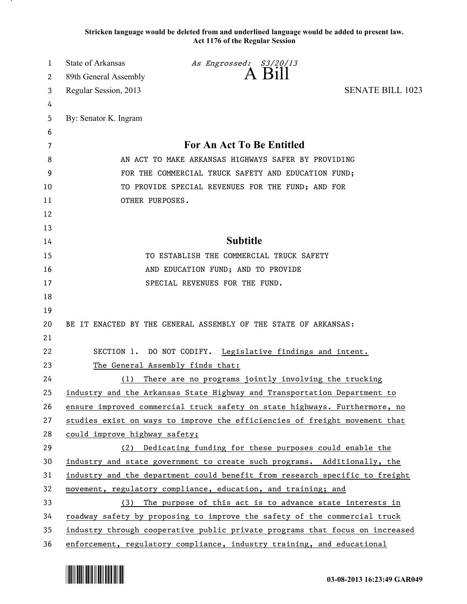**Stricken language would be deleted from and underlined language would be added to present law. Act 1176 of the Regular Session**

| 1        | State of Arkansas                                                            | As Engrossed: S3/20/13                                                      |                         |
|----------|------------------------------------------------------------------------------|-----------------------------------------------------------------------------|-------------------------|
| 2        | 89th General Assembly                                                        | A Bill                                                                      |                         |
| 3        | Regular Session, 2013                                                        |                                                                             | <b>SENATE BILL 1023</b> |
| 4        |                                                                              |                                                                             |                         |
| 5        | By: Senator K. Ingram                                                        |                                                                             |                         |
| 6        |                                                                              |                                                                             |                         |
| 7        |                                                                              | <b>For An Act To Be Entitled</b>                                            |                         |
| 8        |                                                                              | AN ACT TO MAKE ARKANSAS HIGHWAYS SAFER BY PROVIDING                         |                         |
| 9        |                                                                              | FOR THE COMMERCIAL TRUCK SAFETY AND EDUCATION FUND;                         |                         |
| 10       |                                                                              | TO PROVIDE SPECIAL REVENUES FOR THE FUND; AND FOR                           |                         |
| 11       | OTHER PURPOSES.                                                              |                                                                             |                         |
| 12       |                                                                              |                                                                             |                         |
| 13       |                                                                              |                                                                             |                         |
| 14       |                                                                              | <b>Subtitle</b>                                                             |                         |
| 15       |                                                                              | TO ESTABLISH THE COMMERCIAL TRUCK SAFETY                                    |                         |
| 16       |                                                                              | AND EDUCATION FUND; AND TO PROVIDE                                          |                         |
| 17       |                                                                              | SPECIAL REVENUES FOR THE FUND.                                              |                         |
| 18       |                                                                              |                                                                             |                         |
| 19<br>20 |                                                                              | BE IT ENACTED BY THE GENERAL ASSEMBLY OF THE STATE OF ARKANSAS:             |                         |
| 21       |                                                                              |                                                                             |                         |
| 22       |                                                                              | SECTION 1. DO NOT CODIFY. Legislative findings and intent.                  |                         |
| 23       | The General Assembly finds that:                                             |                                                                             |                         |
| 24       | (1)                                                                          | There are no programs jointly involving the trucking                        |                         |
| 25       |                                                                              | industry and the Arkansas State Highway and Transportation Department to    |                         |
| 26       |                                                                              | ensure improved commercial truck safety on state highways. Furthermore, no  |                         |
| 27       |                                                                              | studies exist on ways to improve the efficiencies of freight movement that  |                         |
| 28       | could improve highway safety;                                                |                                                                             |                         |
| 29       | (2)                                                                          | Dedicating funding for these purposes could enable the                      |                         |
| 30       |                                                                              | industry and state government to create such programs. Additionally, the    |                         |
| 31       |                                                                              | industry and the department could benefit from research specific to freight |                         |
| 32       |                                                                              | movement, regulatory compliance, education, and training; and               |                         |
| 33       | (3)                                                                          | The purpose of this act is to advance state interests in                    |                         |
| 34       |                                                                              | roadway safety by proposing to improve the safety of the commercial truck   |                         |
| 35       | industry through cooperative public private programs that focus on increased |                                                                             |                         |
| 36       |                                                                              | enforcement, regulatory compliance, industry training, and educational      |                         |

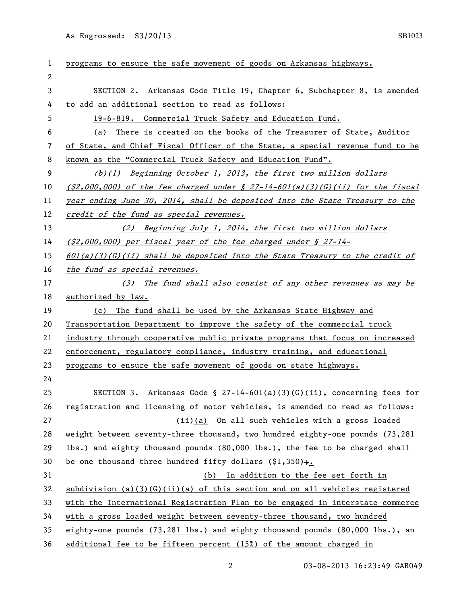As Engrossed: S3/20/13 SB1023

| 1  | programs to ensure the safe movement of goods on Arkansas highways.              |
|----|----------------------------------------------------------------------------------|
| 2  |                                                                                  |
| 3  | SECTION 2. Arkansas Code Title 19, Chapter 6, Subchapter 8, is amended           |
| 4  | to add an additional section to read as follows:                                 |
| 5  | 19-6-819. Commercial Truck Safety and Education Fund.                            |
| 6  | There is created on the books of the Treasurer of State, Auditor<br>(a)          |
| 7  | of State, and Chief Fiscal Officer of the State, a special revenue fund to be    |
| 8  | known as the "Commercial Truck Safety and Education Fund".                       |
| 9  | (b)(1) Beginning October 1, 2013, the first two million dollars                  |
| 10 | $(32,000,000)$ of the fee charged under § 27-14-601(a)(3)(G)(ii) for the fiscal  |
| 11 | year ending June 30, 2014, shall be deposited into the State Treasury to the     |
| 12 | credit of the fund as special revenues.                                          |
| 13 | (2) Beginning July 1, 2014, the first two million dollars                        |
| 14 | $(52,000,000)$ per fiscal year of the fee charged under § 27-14-                 |
| 15 | 601(a)(3)(G)(ii) shall be deposited into the State Treasury to the credit of     |
| 16 | <u>the fund as special revenues.</u>                                             |
| 17 | (3) The fund shall also consist of any other revenues as may be                  |
| 18 | authorized by law.                                                               |
| 19 | (c) The fund shall be used by the Arkansas State Highway and                     |
| 20 | Transportation Department to improve the safety of the commercial truck          |
| 21 | industry through cooperative public private programs that focus on increased     |
| 22 | enforcement, regulatory compliance, industry training, and educational           |
| 23 | programs to ensure the safe movement of goods on state highways.                 |
| 24 |                                                                                  |
| 25 | SECTION 3. Arkansas Code § 27-14-601(a)(3)(G)(ii), concerning fees for           |
| 26 | registration and licensing of motor vehicles, is amended to read as follows:     |
| 27 | $(ii)(a)$ On all such vehicles with a gross loaded                               |
| 28 | weight between seventy-three thousand, two hundred eighty-one pounds (73,281     |
| 29 | lbs.) and eighty thousand pounds (80,000 lbs.), the fee to be charged shall      |
| 30 | be one thousand three hundred fifty dollars $(1,350)$ .                          |
| 31 | (b) In addition to the fee set forth in                                          |
| 32 | subdivision (a)(3)(G)(ii)(a) of this section and on all vehicles registered      |
| 33 | with the International Registration Plan to be engaged in interstate commerce    |
| 34 | with a gross loaded weight between seventy-three thousand, two hundred           |
| 35 | eighty-one pounds $(73,281$ lbs.) and eighty thousand pounds $(80,000$ lbs.), an |
| 36 | additional fee to be fifteen percent (15%) of the amount charged in              |

2 03-08-2013 16:23:49 GAR049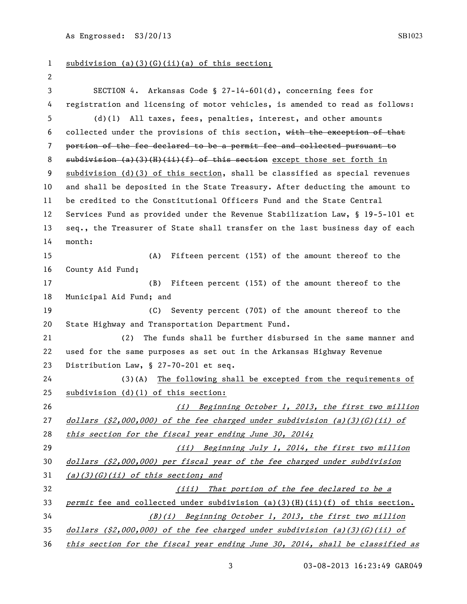As Engrossed:  $S3/20/13$  SB1023

 subdivision (a)(3)(G)(ii)(a) of this section; SECTION 4. Arkansas Code § 27-14-601(d), concerning fees for registration and licensing of motor vehicles, is amended to read as follows: (d)(1) All taxes, fees, penalties, interest, and other amounts collected under the provisions of this section, with the exception of that portion of the fee declared to be a permit fee and collected pursuant to 8 subdivision  $(a)$  (3)(H)(ii)(f) of this section except those set forth in subdivision (d)(3) of this section, shall be classified as special revenues and shall be deposited in the State Treasury. After deducting the amount to be credited to the Constitutional Officers Fund and the State Central Services Fund as provided under the Revenue Stabilization Law, § 19-5-101 et seq., the Treasurer of State shall transfer on the last business day of each month: (A) Fifteen percent (15%) of the amount thereof to the County Aid Fund; (B) Fifteen percent (15%) of the amount thereof to the Municipal Aid Fund; and (C) Seventy percent (70%) of the amount thereof to the State Highway and Transportation Department Fund. (2) The funds shall be further disbursed in the same manner and used for the same purposes as set out in the Arkansas Highway Revenue Distribution Law, § 27-70-201 et seq. (3)(A) The following shall be excepted from the requirements of subdivision (d)(1) of this section: (i) Beginning October 1, 2013, the first two million 27 dollars (\$2,000,000) of the fee charged under subdivision (a)(3)(G)(ii) of 28 this section for the fiscal year ending June 30, 2014; (ii) Beginning July 1, 2014, the first two million dollars (\$2,000,000) per fiscal year of the fee charged under subdivision  $(a)(3)(G)(ii)$  of this section; and (iii) That portion of the fee declared to be a 33 permit fee and collected under subdivision (a)(3)(H)(ii)(f) of this section. (B)(i) Beginning October 1, 2013, the first two million 35 dollars  $(\frac{2}{2},000,000)$  of the fee charged under subdivision (a)(3)(G)(ii) of this section for the fiscal year ending June 30, 2014, shall be classified as

03-08-2013 16:23:49 GAR049